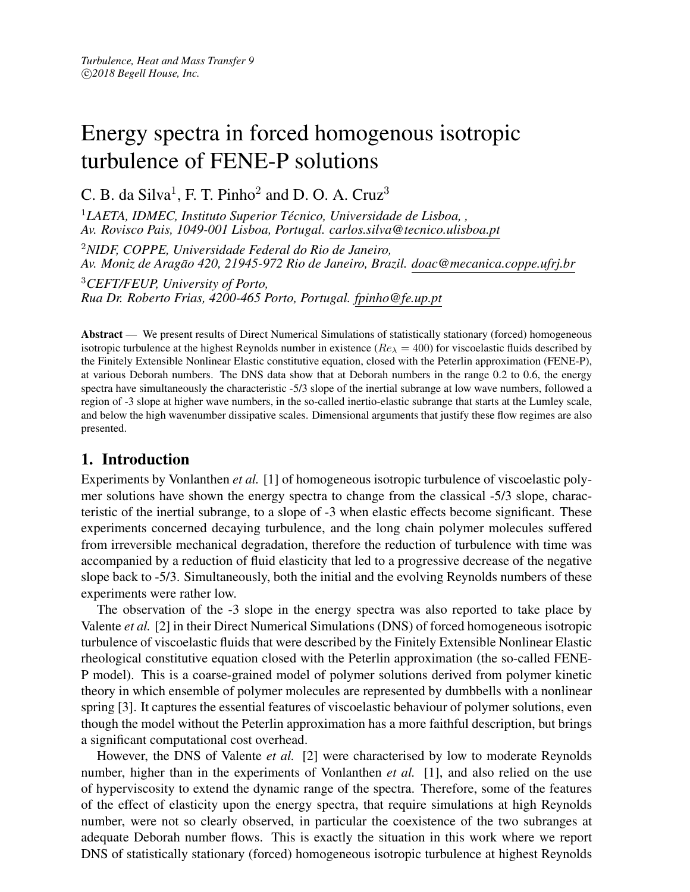# Energy spectra in forced homogenous isotropic turbulence of FENE-P solutions

C. B. da Silva<sup>1</sup>, F. T. Pinho<sup>2</sup> and D. O. A. Cruz<sup>3</sup>

<sup>1</sup>LAETA, IDMEC, Instituto Superior Técnico, Universidade de Lisboa, , *Av. Rovisco Pais, 1049-001 Lisboa, Portugal. carlos.silva@tecnico.ulisboa.pt*

<sup>2</sup>*NIDF, COPPE, Universidade Federal do Rio de Janeiro, Av. Moniz de Aragao 420, 21945-972 Rio de Janeiro, Brazil. doac@mecanica.coppe.ufrj.br ˜*

<sup>3</sup>*CEFT/FEUP, University of Porto, Rua Dr. Roberto Frias, 4200-465 Porto, Portugal. fpinho@fe.up.pt*

Abstract — We present results of Direct Numerical Simulations of statistically stationary (forced) homogeneous isotropic turbulence at the highest Reynolds number in existence ( $Re_{\lambda} = 400$ ) for viscoelastic fluids described by the Finitely Extensible Nonlinear Elastic constitutive equation, closed with the Peterlin approximation (FENE-P), at various Deborah numbers. The DNS data show that at Deborah numbers in the range 0.2 to 0.6, the energy spectra have simultaneously the characteristic -5/3 slope of the inertial subrange at low wave numbers, followed a region of -3 slope at higher wave numbers, in the so-called inertio-elastic subrange that starts at the Lumley scale, and below the high wavenumber dissipative scales. Dimensional arguments that justify these flow regimes are also presented.

# 1. Introduction

Experiments by Vonlanthen *et al.* [1] of homogeneous isotropic turbulence of viscoelastic polymer solutions have shown the energy spectra to change from the classical -5/3 slope, characteristic of the inertial subrange, to a slope of -3 when elastic effects become significant. These experiments concerned decaying turbulence, and the long chain polymer molecules suffered from irreversible mechanical degradation, therefore the reduction of turbulence with time was accompanied by a reduction of fluid elasticity that led to a progressive decrease of the negative slope back to -5/3. Simultaneously, both the initial and the evolving Reynolds numbers of these experiments were rather low.

The observation of the -3 slope in the energy spectra was also reported to take place by Valente *et al.* [2] in their Direct Numerical Simulations (DNS) of forced homogeneous isotropic turbulence of viscoelastic fluids that were described by the Finitely Extensible Nonlinear Elastic rheological constitutive equation closed with the Peterlin approximation (the so-called FENE-P model). This is a coarse-grained model of polymer solutions derived from polymer kinetic theory in which ensemble of polymer molecules are represented by dumbbells with a nonlinear spring [3]. It captures the essential features of viscoelastic behaviour of polymer solutions, even though the model without the Peterlin approximation has a more faithful description, but brings a significant computational cost overhead.

However, the DNS of Valente *et al.* [2] were characterised by low to moderate Reynolds number, higher than in the experiments of Vonlanthen *et al.* [1], and also relied on the use of hyperviscosity to extend the dynamic range of the spectra. Therefore, some of the features of the effect of elasticity upon the energy spectra, that require simulations at high Reynolds number, were not so clearly observed, in particular the coexistence of the two subranges at adequate Deborah number flows. This is exactly the situation in this work where we report DNS of statistically stationary (forced) homogeneous isotropic turbulence at highest Reynolds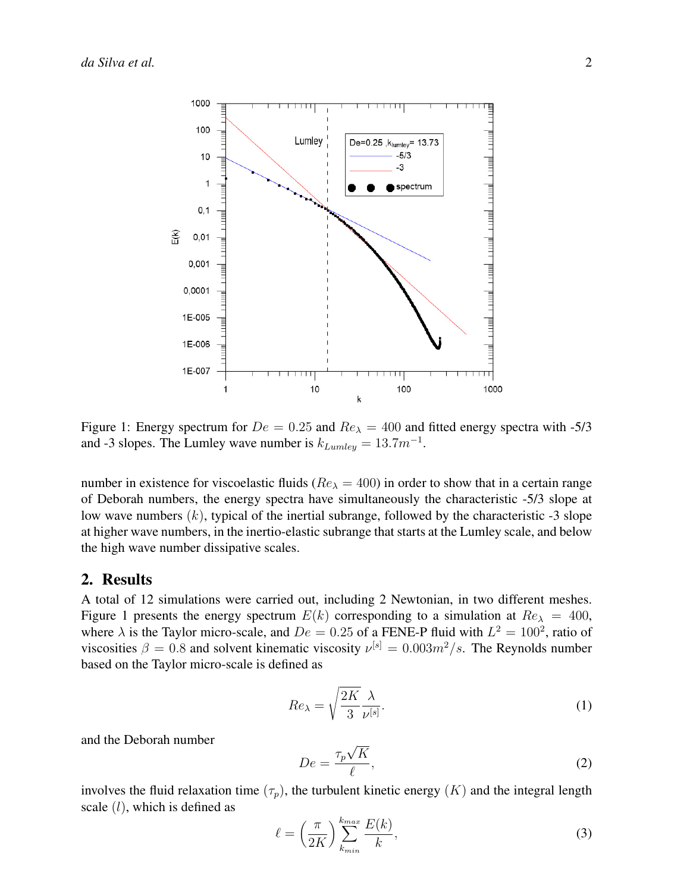

Figure 1: Energy spectrum for  $De = 0.25$  and  $Re_{\lambda} = 400$  and fitted energy spectra with -5/3 and -3 slopes. The Lumley wave number is  $k_{Lumley} = 13.7 m^{-1}$ .

number in existence for viscoelastic fluids ( $Re_{\lambda} = 400$ ) in order to show that in a certain range of Deborah numbers, the energy spectra have simultaneously the characteristic -5/3 slope at low wave numbers  $(k)$ , typical of the inertial subrange, followed by the characteristic  $-3$  slope at higher wave numbers, in the inertio-elastic subrange that starts at the Lumley scale, and below the high wave number dissipative scales.

#### 2. Results

A total of 12 simulations were carried out, including 2 Newtonian, in two different meshes. Figure 1 presents the energy spectrum  $E(k)$  corresponding to a simulation at  $Re<sub>\lambda</sub> = 400$ , where  $\lambda$  is the Taylor micro-scale, and  $De = 0.25$  of a FENE-P fluid with  $L^2 = 100^2$ , ratio of viscosities  $\beta = 0.8$  and solvent kinematic viscosity  $\nu^{[s]} = 0.003m^2/s$ . The Reynolds number based on the Taylor micro-scale is defined as

$$
Re_{\lambda} = \sqrt{\frac{2K}{3}} \frac{\lambda}{\nu^{[s]}}.
$$
 (1)

and the Deborah number

$$
De = \frac{\tau_p \sqrt{K}}{\ell},\tag{2}
$$

involves the fluid relaxation time  $(\tau_p)$ , the turbulent kinetic energy  $(K)$  and the integral length scale  $(l)$ , which is defined as

$$
\ell = \left(\frac{\pi}{2K}\right) \sum_{k_{min}}^{k_{max}} \frac{E(k)}{k},\tag{3}
$$